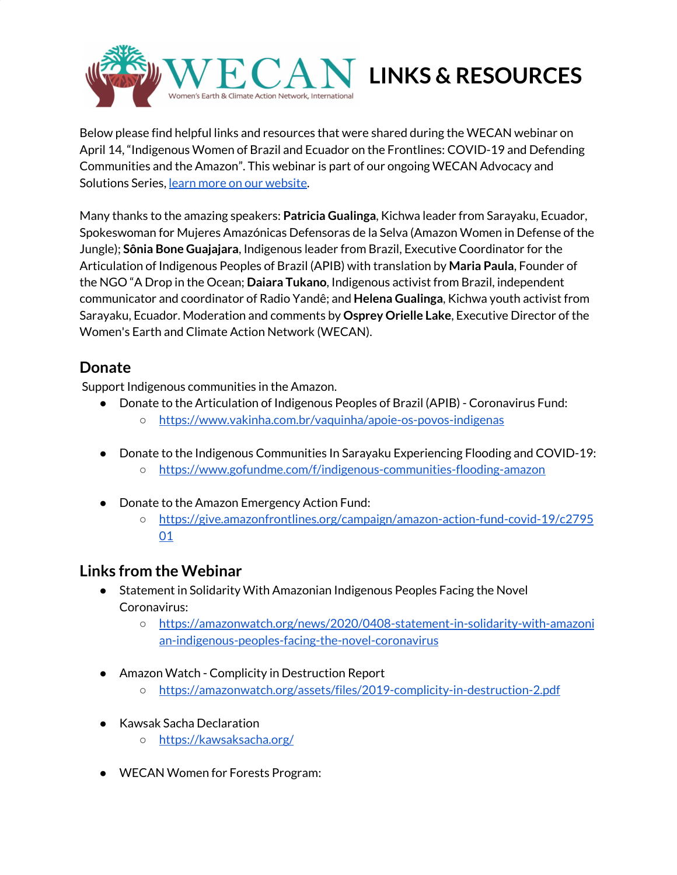

Below please find helpful links and resources that were shared during the WECAN webinar on April 14, "Indigenous Women of Brazil and Ecuador on the Frontlines: COVID-19 and Defending Communities and the Amazon". This webinar is part of our ongoing WECAN Advocacy and Solutions Series, learn more on our [website.](https://www.wecaninternational.org/)

Many thanks to the amazing speakers: **Patricia Gualinga**, Kichwa leader from Sarayaku, Ecuador, Spokeswoman for Mujeres Amazónicas Defensoras de la Selva (Amazon Women in Defense of the Jungle); **Sônia Bone Guajajara**, Indigenous leader from Brazil, Executive Coordinator for the Articulation of Indigenous Peoples of Brazil (APIB) with translation by **Maria Paula**, Founder of the NGO "A Drop in the Ocean; **Daiara Tukano**, Indigenous activist from Brazil, independent communicator and coordinator of Radio Yandê; and **Helena Gualinga**, Kichwa youth activist from Sarayaku, Ecuador. Moderation and comments by **Osprey Orielle Lake**, Executive Director of the Women's Earth and Climate Action Network (WECAN).

## **Donate**

Support Indigenous communities in the Amazon.

- Donate to the Articulation of Indigenous Peoples of Brazil (APIB) Coronavirus Fund: ○ <https://www.vakinha.com.br/vaquinha/apoie-os-povos-indigenas>
- Donate to the Indigenous Communities In Sarayaku Experiencing Flooding and COVID-19:
	- <https://www.gofundme.com/f/indigenous-communities-flooding-amazon>
- Donate to the Amazon Emergency Action Fund:
	- [https://give.amazonfrontlines.org/campaign/amazon-action-fund-covid-19/c2795](https://give.amazonfrontlines.org/campaign/amazon-action-fund-covid-19/c279501) [01](https://give.amazonfrontlines.org/campaign/amazon-action-fund-covid-19/c279501)

## **Links from the Webinar**

- Statement in Solidarity With Amazonian Indigenous Peoples Facing the Novel Coronavirus:
	- [https://amazonwatch.org/news/2020/0408-statement-in-solidarity-with-amazoni](https://amazonwatch.org/news/2020/0408-statement-in-solidarity-with-amazonian-indigenous-peoples-facing-the-novel-coronavirus) [an-indigenous-peoples-facing-the-novel-coronavirus](https://amazonwatch.org/news/2020/0408-statement-in-solidarity-with-amazonian-indigenous-peoples-facing-the-novel-coronavirus)
- Amazon Watch Complicity in Destruction Report
	- <https://amazonwatch.org/assets/files/2019-complicity-in-destruction-2.pdf>
- Kawsak Sacha Declaration
	- <https://kawsaksacha.org/>
- WECAN Women for Forests Program: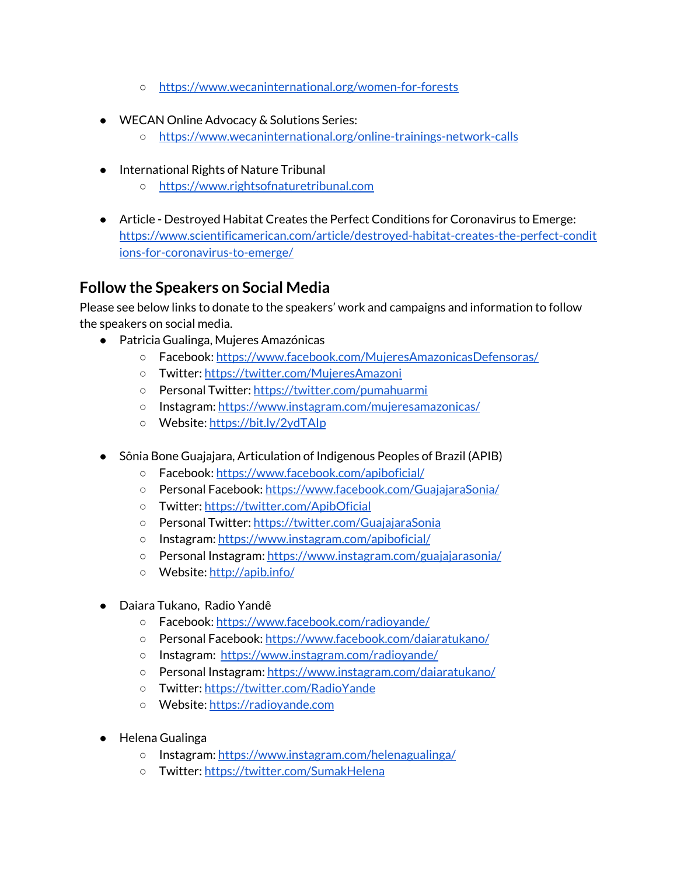- <https://www.wecaninternational.org/women-for-forests>
- WECAN Online Advocacy & Solutions Series:
	- <https://www.wecaninternational.org/online-trainings-network-calls>
- International Rights of Nature Tribunal
	- [https://www.rightsofnaturetribunal.com](https://www.rightsofnaturetribunal.com/)
- Article Destroyed Habitat Creates the Perfect Conditions for Coronavirus to Emerge: [https://www.scientificamerican.com/article/destroyed-habitat-creates-the-perfect-condit](https://www.scientificamerican.com/article/destroyed-habitat-creates-the-perfect-conditions-for-coronavirus-to-emerge/?utm_medium=social&utm_content=organic&utm_source=facebook&utm_campaign=SciAm_&sf231648028=1&fbclid=IwAR2mLhn3wDusmAsVG1HXzf6K1z9CMKLW7kLjcHgjnr7mCnZmH2T9uSaPRK8) [ions-for-coronavirus-to-emerge/](https://www.scientificamerican.com/article/destroyed-habitat-creates-the-perfect-conditions-for-coronavirus-to-emerge/?utm_medium=social&utm_content=organic&utm_source=facebook&utm_campaign=SciAm_&sf231648028=1&fbclid=IwAR2mLhn3wDusmAsVG1HXzf6K1z9CMKLW7kLjcHgjnr7mCnZmH2T9uSaPRK8)

# **Follow the Speakers on Social Media**

Please see below links to donate to the speakers' work and campaigns and information to follow the speakers on social media.

- Patricia Gualinga, Mujeres Amazónicas
	- Facebook: <https://www.facebook.com/MujeresAmazonicasDefensoras/>
	- Twitter: <https://twitter.com/MujeresAmazoni>
	- o Personal Twitter: <https://twitter.com/pumahuarmi>
	- Instagram: <https://www.instagram.com/mujeresamazonicas/>
	- Website: <https://bit.ly/2ydTAIp>
- Sônia Bone Guajajara, Articulation of Indigenous Peoples of Brazil (APIB)
	- Facebook: <https://www.facebook.com/apiboficial/>
	- Personal Facebook: <https://www.facebook.com/GuajajaraSonia/>
	- Twitter: <https://twitter.com/ApibOficial>
	- Personal Twitter: <https://twitter.com/GuajajaraSonia>
	- Instagram: <https://www.instagram.com/apiboficial/>
	- Personal Instagram: <https://www.instagram.com/guajajarasonia/>
	- Website: <http://apib.info/>
- Daiara Tukano, Radio Yandê
	- Facebook: <https://www.facebook.com/radioyande/>
	- Personal Facebook: <https://www.facebook.com/daiaratukano/>
	- Instagram: <https://www.instagram.com/radioyande/>
	- Personal Instagram: <https://www.instagram.com/daiaratukano/>
	- Twitter: <https://twitter.com/RadioYande>
	- Website: [https://radioyande.com](https://radioyande.com/?fbclid=IwAR1XBBjY5ruu4TzxFf2nirVBx8qqt0oeF07K8mbuhYE7UX4kQRyKrVu-CiU)
- Helena Gualinga
	- Instagram: <https://www.instagram.com/helenagualinga/>
	- o Twitter: <https://twitter.com/SumakHelena>